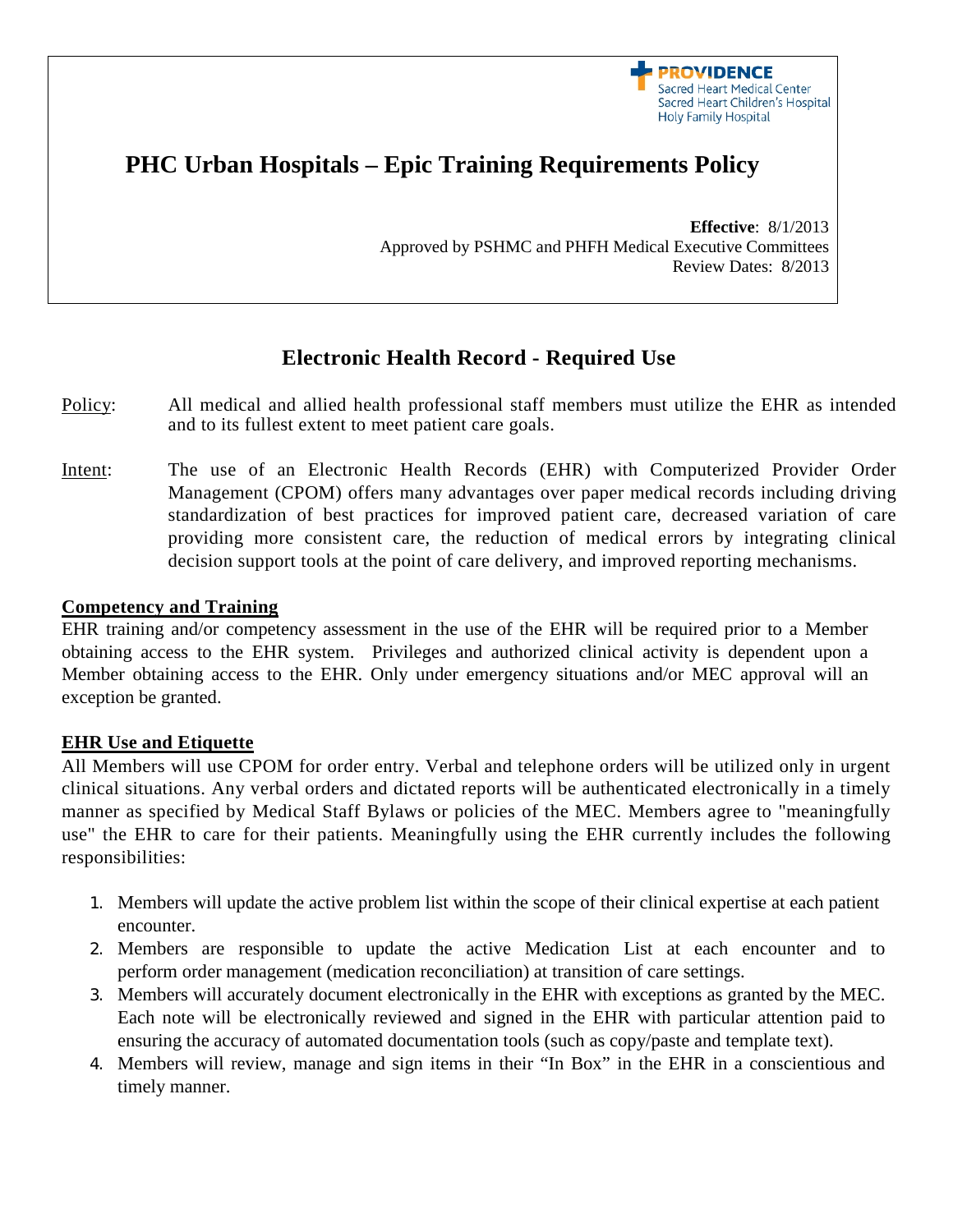

# **PHC Urban Hospitals – Epic Training Requirements Policy**

**Effective**: 8/1/2013 Approved by PSHMC and PHFH Medical Executive Committees Review Dates: 8/2013

# **Electronic Health Record - Required Use**

- Policy: All medical and allied health professional staff members must utilize the EHR as intended and to its fullest extent to meet patient care goals.
- Intent: The use of an Electronic Health Records (EHR) with Computerized Provider Order Management (CPOM) offers many advantages over paper medical records including driving standardization of best practices for improved patient care, decreased variation of care providing more consistent care, the reduction of medical errors by integrating clinical decision support tools at the point of care delivery, and improved reporting mechanisms.

#### **Competency and Training**

EHR training and/or competency assessment in the use of the EHR will be required prior to a Member obtaining access to the EHR system. Privileges and authorized clinical activity is dependent upon a Member obtaining access to the EHR. Only under emergency situations and/or MEC approval will an exception be granted.

### **EHR Use and Etiquette**

All Members will use CPOM for order entry. Verbal and telephone orders will be utilized only in urgent clinical situations. Any verbal orders and dictated reports will be authenticated electronically in a timely manner as specified by Medical Staff Bylaws or policies of the MEC. Members agree to "meaningfully use" the EHR to care for their patients. Meaningfully using the EHR currently includes the following responsibilities:

- 1. Members will update the active problem list within the scope of their clinical expertise at each patient encounter.
- 2. Members are responsible to update the active Medication List at each encounter and to perform order management (medication reconciliation) at transition of care settings.
- 3. Members will accurately document electronically in the EHR with exceptions as granted by the MEC. Each note will be electronically reviewed and signed in the EHR with particular attention paid to ensuring the accuracy of automated documentation tools (such as copy/paste and template text).
- 4. Members will review, manage and sign items in their "In Box" in the EHR in a conscientious and timely manner.